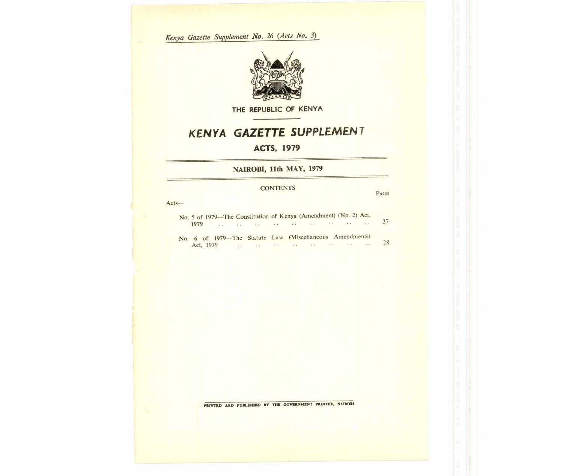*Kenya Gazette Supplement No. 26 (Acts No. 3)* 



**THE REPUBLIC OF KENYA** 

# *KENYA GAZETTE SUPPLEMENT*

## **ACTS, 1979**

**NAIROBI, 11th MAY, 1979** 

### **CONTENTS**

**PAGE** 

Acts—

| No. 5 of 1979—The Constitution of Kenya (Amendment) (No. 2) Act, |  |  |  |                                                          |  |  |  |  |    |
|------------------------------------------------------------------|--|--|--|----------------------------------------------------------|--|--|--|--|----|
|                                                                  |  |  |  |                                                          |  |  |  |  |    |
|                                                                  |  |  |  | No. 6 of 1979—The Statute Law (Miscellaneous Amendments) |  |  |  |  |    |
|                                                                  |  |  |  |                                                          |  |  |  |  | 28 |

**PRINTED AND PUBLISHED BY THE GOVERNMENT PRINTER, NAIROBI**